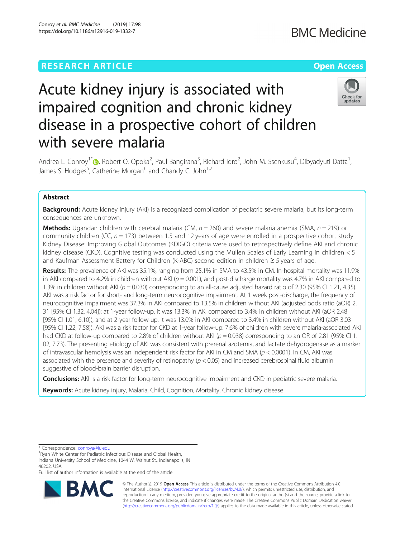Conroy et al. BMC Medicine (2019) 17:98 https://doi.org/10.1186/s12916-019-1332-7

# Acute kidney injury is associated with impaired cognition and chronic kidney disease in a prospective cohort of children with severe malaria



Andrea L. Conroy<sup>1[\\*](http://orcid.org/0000-0002-5328-6511)</sup>®, Robert O. Opoka<sup>2</sup>, Paul Bangirana<sup>3</sup>, Richard Idro<sup>2</sup>, John M. Ssenkusu<sup>4</sup>, Dibyadyuti Datta<sup>1</sup> , James S. Hodges<sup>5</sup>, Catherine Morgan<sup>6</sup> and Chandy C. John<sup>1,7</sup>

## Abstract

Background: Acute kidney injury (AKI) is a recognized complication of pediatric severe malaria, but its long-term consequences are unknown.

**Methods:** Ugandan children with cerebral malaria (CM,  $n = 260$ ) and severe malaria anemia (SMA,  $n = 219$ ) or community children (CC,  $n = 173$ ) between 1.5 and 12 years of age were enrolled in a prospective cohort study. Kidney Disease: Improving Global Outcomes (KDIGO) criteria were used to retrospectively define AKI and chronic kidney disease (CKD). Cognitive testing was conducted using the Mullen Scales of Early Learning in children < 5 and Kaufman Assessment Battery for Children (K-ABC) second edition in children ≥ 5 years of age.

Results: The prevalence of AKI was 35.1%, ranging from 25.1% in SMA to 43.5% in CM. In-hospital mortality was 11.9% in AKI compared to 4.2% in children without AKI ( $p = 0.001$ ), and post-discharge mortality was 4.7% in AKI compared to 1.3% in children without AKI ( $p = 0.030$ ) corresponding to an all-cause adjusted hazard ratio of 2.30 (95% CI 1.21, 4.35). AKI was a risk factor for short- and long-term neurocognitive impairment. At 1 week post-discharge, the frequency of neurocognitive impairment was 37.3% in AKI compared to 13.5% in children without AKI (adjusted odds ratio (aOR) 2. 31 [95% CI 1.32, 4.04]); at 1-year follow-up, it was 13.3% in AKI compared to 3.4% in children without AKI (aOR 2.48 [95% CI 1.01, 6.10]), and at 2-year follow-up, it was 13.0% in AKI compared to 3.4% in children without AKI (aOR 3.03 [95% CI 1.22, 7.58]). AKI was a risk factor for CKD at 1-year follow-up: 7.6% of children with severe malaria-associated AKI had CKD at follow-up compared to 2.8% of children without AKI ( $p = 0.038$ ) corresponding to an OR of 2.81 (95% CI 1. 02, 7.73). The presenting etiology of AKI was consistent with prerenal azotemia, and lactate dehydrogenase as a marker of intravascular hemolysis was an independent risk factor for AKI in CM and SMA (p < 0.0001). In CM, AKI was associated with the presence and severity of retinopathy  $(p < 0.05)$  and increased cerebrospinal fluid albumin suggestive of blood-brain barrier disruption.

**Conclusions:** AKI is a risk factor for long-term neurocognitive impairment and CKD in pediatric severe malaria.

Keywords: Acute kidney injury, Malaria, Child, Cognition, Mortality, Chronic kidney disease

<sup>1</sup> Ryan White Center for Pediatric Infectious Disease and Global Health, Indiana University School of Medicine, 1044 W. Walnut St., Indianapolis, IN 46202, USA

Full list of author information is available at the end of the article



© The Author(s). 2019 **Open Access** This article is distributed under the terms of the Creative Commons Attribution 4.0 International License [\(http://creativecommons.org/licenses/by/4.0/](http://creativecommons.org/licenses/by/4.0/)), which permits unrestricted use, distribution, and reproduction in any medium, provided you give appropriate credit to the original author(s) and the source, provide a link to the Creative Commons license, and indicate if changes were made. The Creative Commons Public Domain Dedication waiver [\(http://creativecommons.org/publicdomain/zero/1.0/](http://creativecommons.org/publicdomain/zero/1.0/)) applies to the data made available in this article, unless otherwise stated.

<sup>\*</sup> Correspondence: [conroya@iu.edu](mailto:conroya@iu.edu) <sup>1</sup>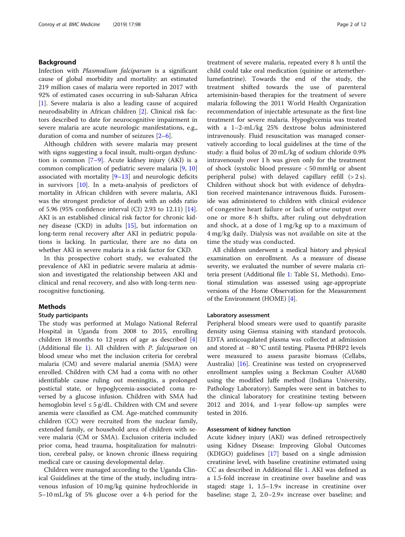## Background

Infection with Plasmodium falciparum is a significant cause of global morbidity and mortality: an estimated 219 million cases of malaria were reported in 2017 with 92% of estimated cases occurring in sub-Saharan Africa [[1\]](#page-10-0). Severe malaria is also a leading cause of acquired neurodisability in African children [\[2](#page-10-0)]. Clinical risk factors described to date for neurocognitive impairment in severe malaria are acute neurologic manifestations, e.g., duration of coma and number of seizures [[2](#page-10-0)–[6](#page-10-0)].

Although children with severe malaria may present with signs suggesting a focal insult, multi-organ dysfunction is common  $[7-9]$  $[7-9]$  $[7-9]$  $[7-9]$ . Acute kidney injury (AKI) is a common complication of pediatric severe malaria [\[9](#page-10-0), [10](#page-10-0)] associated with mortality  $[9-13]$  $[9-13]$  $[9-13]$  $[9-13]$  and neurologic deficits in survivors [\[10](#page-10-0)]. In a meta-analysis of predictors of mortality in African children with severe malaria, AKI was the strongest predictor of death with an odds ratio of 5.96 (95% confidence interval (CI) 2.93 to 12.11) [\[14](#page-10-0)]. AKI is an established clinical risk factor for chronic kidney disease (CKD) in adults [\[15](#page-10-0)], but information on long-term renal recovery after AKI in pediatric populations is lacking. In particular, there are no data on whether AKI in severe malaria is a risk factor for CKD.

In this prospective cohort study, we evaluated the prevalence of AKI in pediatric severe malaria at admission and investigated the relationship between AKI and clinical and renal recovery, and also with long-term neurocognitive functioning.

## Methods

#### Study participants

The study was performed at Mulago National Referral Hospital in Uganda from 2008 to 2015, enrolling children 18 months to 12 years of age as described [\[4](#page-10-0)] (Additional file [1\)](#page-9-0). All children with P. falciparum on blood smear who met the inclusion criteria for cerebral malaria (CM) and severe malarial anemia (SMA) were enrolled. Children with CM had a coma with no other identifiable cause ruling out meningitis, a prolonged postictal state, or hypoglycemia-associated coma reversed by a glucose infusion. Children with SMA had hemoglobin level  $\leq$  5 g/dL. Children with CM and severe anemia were classified as CM. Age-matched community children (CC) were recruited from the nuclear family, extended family, or household area of children with severe malaria (CM or SMA). Exclusion criteria included prior coma, head trauma, hospitalization for malnutrition, cerebral palsy, or known chronic illness requiring medical care or causing developmental delay.

Children were managed according to the Uganda Clinical Guidelines at the time of the study, including intravenous infusion of 10 mg/kg quinine hydrochloride in 5–10 mL/kg of 5% glucose over a 4-h period for the treatment of severe malaria, repeated every 8 h until the child could take oral medication (quinine or artemetherlumefantrine). Towards the end of the study, the treatment shifted towards the use of parenteral artemisinin-based therapies for the treatment of severe malaria following the 2011 World Health Organization recommendation of injectable artesunate as the first-line treatment for severe malaria. Hypoglycemia was treated with a 1–2-mL/kg 25% dextrose bolus administered intravenously. Fluid resuscitation was managed conservatively according to local guidelines at the time of the study: a fluid bolus of 20 mL/kg of sodium chloride 0.9% intravenously over 1 h was given only for the treatment of shock (systolic blood pressure < 50 mmHg or absent peripheral pulse) with delayed capillary refill  $(> 2 s)$ . Children without shock but with evidence of dehydration received maintenance intravenous fluids. Furosemide was administered to children with clinical evidence of congestive heart failure or lack of urine output over one or more 8-h shifts, after ruling out dehydration and shock, at a dose of 1 mg/kg up to a maximum of 4 mg/kg daily. Dialysis was not available on site at the time the study was conducted.

All children underwent a medical history and physical examination on enrollment. As a measure of disease severity, we evaluated the number of severe malaria criteria present (Additional file [1](#page-9-0): Table S1, Methods). Emotional stimulation was assessed using age-appropriate versions of the Home Observation for the Measurement of the Environment (HOME) [[4\]](#page-10-0).

## Laboratory assessment

Peripheral blood smears were used to quantify parasite density using Giemsa staining with standard protocols. EDTA anticoagulated plasma was collected at admission and stored at − 80 °C until testing. Plasma PfHRP2 levels were measured to assess parasite biomass (Cellabs, Australia) [\[16](#page-10-0)]. Creatinine was tested on cryopreserved enrollment samples using a Beckman Coulter AU680 using the modified Jaffe method (Indiana University, Pathology Laboratory). Samples were sent in batches to the clinical laboratory for creatinine testing between 2012 and 2014, and 1-year follow-up samples were tested in 2016.

## Assessment of kidney function

Acute kidney injury (AKI) was defined retrospectively using Kidney Disease: Improving Global Outcomes (KDIGO) guidelines [\[17](#page-10-0)] based on a single admission creatinine level, with baseline creatinine estimated using CC as described in Additional file [1](#page-9-0). AKI was defined as a 1.5-fold increase in creatinine over baseline and was staged: stage 1, 1.5–1.9× increase in creatinine over baseline; stage 2, 2.0–2.9× increase over baseline; and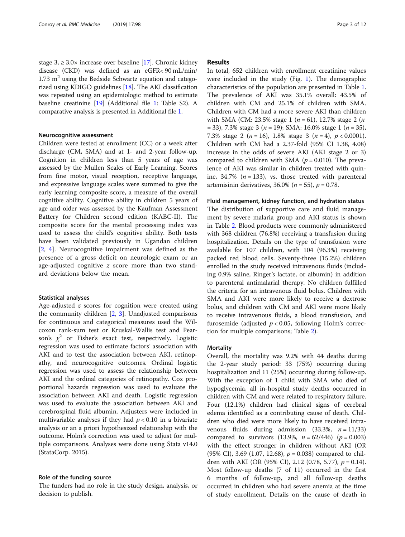stage  $3$ ,  $\geq 3.0 \times$  increase over baseline [[17](#page-10-0)]. Chronic kidney disease (CKD) was defined as an eGFR< 90 mL/min/ 1.73  $m<sup>2</sup>$  using the Bedside Schwartz equation and categorized using KDIGO guidelines [[18](#page-10-0)]. The AKI classification was repeated using an epidemiologic method to estimate baseline creatinine [\[19\]](#page-10-0) (Additional file [1](#page-9-0): Table S2). A comparative analysis is presented in Additional file [1.](#page-9-0)

## Neurocognitive assessment

Children were tested at enrollment (CC) or a week after discharge (CM, SMA) and at 1- and 2-year follow-up. Cognition in children less than 5 years of age was assessed by the Mullen Scales of Early Learning. Scores from fine motor, visual reception, receptive language, and expressive language scales were summed to give the early learning composite score, a measure of the overall cognitive ability. Cognitive ability in children 5 years of age and older was assessed by the Kaufman Assessment Battery for Children second edition (KABC-II). The composite score for the mental processing index was used to assess the child's cognitive ability. Both tests have been validated previously in Ugandan children [[2,](#page-10-0) [4\]](#page-10-0). Neurocognitive impairment was defined as the presence of a gross deficit on neurologic exam or an age-adjusted cognitive z score more than two standard deviations below the mean.

#### Statistical analyses

Age-adjusted z scores for cognition were created using the community children [\[2](#page-10-0), [3\]](#page-10-0). Unadjusted comparisons for continuous and categorical measures used the Wilcoxon rank-sum test or Kruskal-Wallis test and Pearson's  $\chi^2$  or Fisher's exact test, respectively. Logistic regression was used to estimate factors' association with AKI and to test the association between AKI, retinopathy, and neurocognitive outcomes. Ordinal logistic regression was used to assess the relationship between AKI and the ordinal categories of retinopathy. Cox proportional hazards regression was used to evaluate the association between AKI and death. Logistic regression was used to evaluate the association between AKI and cerebrospinal fluid albumin. Adjusters were included in multivariable analyses if they had  $p < 0.10$  in a bivariate analysis or an a priori hypothesized relationship with the outcome. Holm's correction was used to adjust for multiple comparisons. Analyses were done using Stata v14.0 (StataCorp. 2015).

## Role of the funding source

The funders had no role in the study design, analysis, or decision to publish.

## Results

In total, 652 children with enrollment creatinine values were included in the study (Fig. [1](#page-3-0)). The demographic characteristics of the population are presented in Table [1](#page-4-0). The prevalence of AKI was 35.1% overall: 43.5% of children with CM and 25.1% of children with SMA. Children with CM had a more severe AKI than children with SMA (CM: 23.5% stage 1 ( $n = 61$ ), 12.7% stage 2 (*n*)  $=$  33), 7.3% stage 3 ( $n = 19$ ); SMA: 16.0% stage 1 ( $n = 35$ ), 7.3% stage 2 ( $n = 16$ ), 1.8% stage 3 ( $n = 4$ ),  $p < 0.0001$ ). Children with CM had a 2.37-fold (95% CI 1.38, 4.08) increase in the odds of severe AKI (AKI stage 2 or 3) compared to children with SMA ( $p = 0.010$ ). The prevalence of AKI was similar in children treated with quinine, 34.7% ( $n = 133$ ), vs. those treated with parenteral artemisinin derivatives, 36.0% ( $n = 55$ ),  $p = 0.78$ .

## Fluid management, kidney function, and hydration status

The distribution of supportive care and fluid management by severe malaria group and AKI status is shown in Table [2.](#page-7-0) Blood products were commonly administered with 368 children (76.8%) receiving a transfusion during hospitalization. Details on the type of transfusion were available for 107 children, with 104 (96.3%) receiving packed red blood cells. Seventy-three (15.2%) children enrolled in the study received intravenous fluids (including 0.9% saline, Ringer's lactate, or albumin) in addition to parenteral antimalarial therapy. No children fulfilled the criteria for an intravenous fluid bolus. Children with SMA and AKI were more likely to receive a dextrose bolus, and children with CM and AKI were more likely to receive intravenous fluids, a blood transfusion, and furosemide (adjusted  $p < 0.05$ , following Holm's correction for multiple comparisons; Table [2](#page-7-0)).

## **Mortality**

Overall, the mortality was 9.2% with 44 deaths during the 2-year study period: 33 (75%) occurring during hospitalization and 11 (25%) occurring during follow-up. With the exception of 1 child with SMA who died of hypoglycemia, all in-hospital study deaths occurred in children with CM and were related to respiratory failure. Four (12.1%) children had clinical signs of cerebral edema identified as a contributing cause of death. Children who died were more likely to have received intravenous fluids during admission (33.3%,  $n = 11/33$ ) compared to survivors  $(13.9\%, n = 62/446)$   $(p = 0.003)$ with the effect stronger in children without AKI (OR (95% CI), 3.69 (1.07, 12.68),  $p = 0.038$ ) compared to children with AKI (OR (95% CI), 2.12 (0.78, 5.77),  $p = 0.14$ ). Most follow-up deaths (7 of 11) occurred in the first 6 months of follow-up, and all follow-up deaths occurred in children who had severe anemia at the time of study enrollment. Details on the cause of death in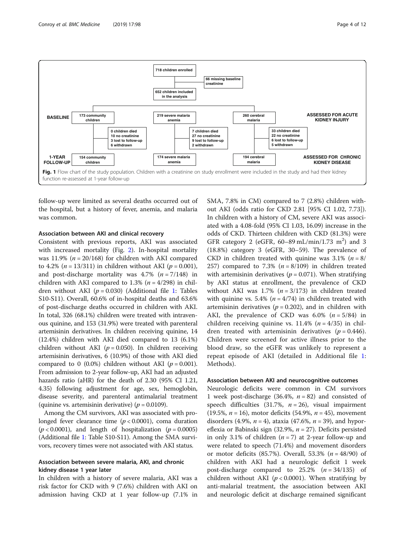<span id="page-3-0"></span>

follow-up were limited as several deaths occurred out of the hospital, but a history of fever, anemia, and malaria was common.

## Association between AKI and clinical recovery

Consistent with previous reports, AKI was associated with increased mortality (Fig. [2](#page-5-0)). In-hospital mortality was 11.9% ( $n = 20/168$ ) for children with AKI compared to 4.2% ( $n = 13/311$ ) in children without AKI ( $p = 0.001$ ), and post-discharge mortality was  $4.7\%$  ( $n = 7/148$ ) in children with AKI compared to 1.3% ( $n = 4/298$ ) in children without AKI ( $p = 0.030$ ) (Additional file [1:](#page-9-0) Tables S10-S11). Overall, 60.6% of in-hospital deaths and 63.6% of post-discharge deaths occurred in children with AKI. In total, 326 (68.1%) children were treated with intravenous quinine, and 153 (31.9%) were treated with parenteral artemisinin derivatives. In children receiving quinine, 14 (12.4%) children with AKI died compared to 13 (6.1%) children without AKI ( $p = 0.050$ ). In children receiving artemisinin derivatives, 6 (10.9%) of those with AKI died compared to 0 (0.0%) children without AKI ( $p = 0.001$ ). From admission to 2-year follow-up, AKI had an adjusted hazards ratio (aHR) for the death of 2.30 (95% CI 1.21, 4.35) following adjustment for age, sex, hemoglobin, disease severity, and parenteral antimalarial treatment (quinine vs. artemisinin derivative)  $(p = 0.0109)$ .

Among the CM survivors, AKI was associated with prolonged fever clearance time  $(p < 0.0001)$ , coma duration  $(p < 0.0001)$ , and length of hospitalization  $(p = 0.0005)$ (Additional file [1:](#page-9-0) Table S10-S11). Among the SMA survivors, recovery times were not associated with AKI status.

## Association between severe malaria, AKI, and chronic kidney disease 1 year later

In children with a history of severe malaria, AKI was a risk factor for CKD with 9 (7.6%) children with AKI on admission having CKD at 1 year follow-up (7.1% in SMA, 7.8% in CM) compared to 7 (2.8%) children without AKI (odds ratio for CKD 2.81 [95% CI 1.02, 7.73]). In children with a history of CM, severe AKI was associated with a 4.08-fold (95% CI 1.03, 16.09) increase in the odds of CKD. Thirteen children with CKD (81.3%) were GFR category 2 (eGFR,  $60-89$  mL/min/1.73 m<sup>2</sup>) and 3 (18.8%) category 3 (eGFR, 30–59). The prevalence of CKD in children treated with quinine was  $3.1\%$  ( $n = 8/$ 257) compared to 7.3% ( $n = 8/109$ ) in children treated with artemisinin derivatives ( $p = 0.071$ ). When stratifying by AKI status at enrollment, the prevalence of CKD without AKI was 1.7%  $(n = 3/173)$  in children treated with quinine vs. 5.4% ( $n = 4/74$ ) in children treated with artemisinin derivatives ( $p = 0.202$ ), and in children with AKI, the prevalence of CKD was  $6.0\%$  ( $n = 5/84$ ) in children receiving quinine vs. 11.4% ( $n = 4/35$ ) in children treated with artemisinin derivatives  $(p = 0.446)$ . Children were screened for active illness prior to the blood draw, so the eGFR was unlikely to represent a repeat episode of AKI (detailed in Additional file [1](#page-9-0): Methods).

#### Association between AKI and neurocognitive outcomes

Neurologic deficits were common in CM survivors 1 week post-discharge (36.4%,  $n = 82$ ) and consisted of speech difficulties (31.7%,  $n = 26$ ), visual impairment  $(19.5\%, n = 16)$ , motor deficits  $(54.9\%, n = 45)$ , movement disorders (4.9%,  $n = 4$ ), ataxia (47.6%,  $n = 39$ ), and hyporeflexia or Babinski sign (32.9%,  $n = 27$ ). Deficits persisted in only 3.1% of children  $(n = 7)$  at 2-year follow-up and were related to speech (71.4%) and movement disorders or motor deficits (85.7%). Overall, 53.3% ( $n = 48/90$ ) of children with AKI had a neurologic deficit 1 week post-discharge compared to  $25.2\%$   $(n = 34/135)$  of children without AKI ( $p < 0.0001$ ). When stratifying by anti-malarial treatment, the association between AKI and neurologic deficit at discharge remained significant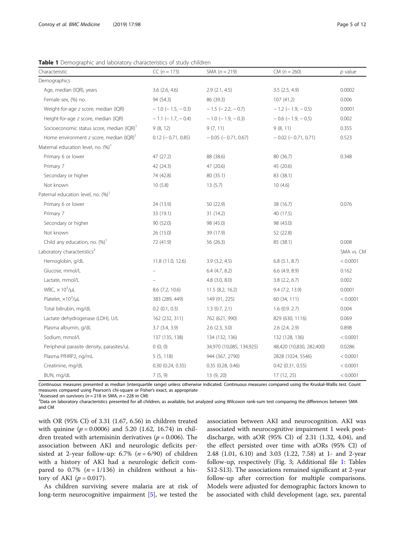<span id="page-4-0"></span>Table 1 Demographic and laboratory characteristics of study children

| Characteristic                                        | $CC (n = 173)$             | SMA $(n = 219)$            | $CM (n = 260)$             | $p$ value  |
|-------------------------------------------------------|----------------------------|----------------------------|----------------------------|------------|
| Demographics                                          |                            |                            |                            |            |
| Age, median (IQR), years                              | $3.6$ $(2.6, 4.6)$         | 2.9(2.1, 4.5)              | 3.5(2.5, 4.9)              | 0.0002     |
| Female sex, (%) no.                                   | 94 (54.3)                  | 86 (39.3)                  | 107 (41.2)                 | 0.006      |
| Weight-for-age z score, median (IQR)                  | $-1.0$ ( $-1.5$ , $-0.3$ ) | $-1.5$ ( $-2.2$ , $-0.7$ ) | $-1.2$ ( $-1.9$ , $-0.5$ ) | 0.0001     |
| Height-for-age z score, median (IQR)                  | $-1.1$ ( $-1.7$ , $-0.4$ ) | $-1.0$ ( $-1.9$ , $-0.3$ ) | $-0.6$ ( $-1.9$ , $-0.5$ ) | 0.002      |
| Socioeconomic status score, median (IQR) <sup>1</sup> | 9(8, 12)                   | 9(7, 11)                   | 9(8, 11)                   | 0.355      |
| Home environment z score, median $(IQR)^T$            | $0.12$ ( $-0.71$ , 0.85)   | $-0.05$ ( $-0.71$ , 0.67)  | $-0.02$ ( $-0.71$ , 0.71)  | 0.523      |
| Maternal education level, no. (%) <sup>1</sup>        |                            |                            |                            |            |
| Primary 6 or lower                                    | 47 (27.2)                  | 88 (38.6)                  | 80 (36.7)                  | 0.348      |
| Primary 7                                             | 42 (24.3)                  | 47 (20.6)                  | 45 (20.6)                  |            |
| Secondary or higher                                   | 74 (42.8)                  | 80 (35.1)                  | 83 (38.1)                  |            |
| Not known                                             | 10(5.8)                    | 13(5.7)                    | 10(4.6)                    |            |
| Paternal education level, no. (%) <sup>1</sup>        |                            |                            |                            |            |
| Primary 6 or lower                                    | 24 (13.9)                  | 50 (22.9)                  | 38 (16.7)                  | 0.076      |
| Primary 7                                             | 33 (19.1)                  | 31 (14.2)                  | 40 (17.5)                  |            |
| Secondary or higher                                   | 90 (52.0)                  | 98 (45.0)                  | 98 (43.0)                  |            |
| Not known                                             | 26 (15.0)                  | 39 (17.9)                  | 52 (22.8)                  |            |
| Child any education, no. (%) <sup>1</sup>             | 72 (41.9)                  | 56 (26.3)                  | 85 (38.1)                  | 0.008      |
| Laboratory characteristics <sup>2</sup>               |                            |                            |                            | SMA vs. CM |
| Hemoglobin, g/dL                                      | 11.8 (11.0, 12.6)          | 3.9(3.2, 4.5)              | $6.8$ $(5.1, 8.7)$         | < 0.0001   |
| Glucose, mmol/L                                       |                            | $6.4$ (4.7, 8.2)           | $6.6$ (4.9, 8.9)           | 0.162      |
| Lactate, mmol/L                                       |                            | $4.8$ $(3.0, 8.0)$         | $3.8$ (2.2, 6.7)           | 0.002      |
| $WBC$ , $\times 10^3/\mu L$                           | 8.6 (7.2, 10.6)            | $11.5$ (8.2, 16.2)         | 9.4 (7.2, 13.9)            | 0.0001     |
| Platelet, ×10 <sup>3</sup> /µL                        | 383 (289, 449)             | 149 (91, 225)              | 60 (34, 111)               | < 0.0001   |
| Total bilirubin, mg/dL                                | $0.2$ $(0.1, 0.3)$         | 1.3(0.7, 2.1)              | $1.6$ (0.9. 2.7)           | 0.004      |
| Lactate dehydrogenase (LDH), U/L                      | 162 (232, 311)             | 762 (621, 990)             | 829 (630, 1116)            | 0.069      |
| Plasma albumin, g/dL                                  | $3.7$ $(3.4, 3.9)$         | $2.6$ $(2.3, 3.0)$         | $2.6$ $(2.4, 2.9)$         | 0.898      |
| Sodium, mmol/L                                        | 137 (135, 138)             | 134 (132, 136)             | 132 (128, 136)             | < 0.0001   |
| Peripheral parasite density, parasites/uL             | 0(0, 0)                    | 34,970 (10,085, 134,925)   | 48,420 (10,830, 282,400)   | 0.0286     |
| Plasma PfHRP2, ng/mL                                  | 5(5, 118)                  | 944 (367, 2790)            | 2828 (1024, 5546)          | < 0.0001   |
| Creatinine, mg/dL                                     | 0.30(0.24, 0.35)           | 0.35 (0.28, 0.46)          | $0.42$ $(0.31, 0.55)$      | < 0.0001   |
| BUN, mg/dL                                            | 7(5, 9)                    | 13 (9, 20)                 | 17(12, 25)                 | < 0.0001   |

inuous measures presented as median (interquartile range) unless otherwise indicated. Continuous measures compared using the Kruskal-Wallis test. Count measures compared using Pearson's chi-square or Fisher's exact, as appropriate <sup>1</sup>

<sup>1</sup>Assessed on survivors ( $n = 218$  in SMA,  $n = 228$  in CM)

<sup>2</sup>Data on laboratory characteristics presented for all children, as available, but analyzed using Wilcoxon rank-sum test comparing the differences between SMA and CM

with OR (95% CI) of 3.31 (1.67, 6.56) in children treated with quinine ( $p = 0.0006$ ) and 5.20 (1.62, 16.74) in children treated with artemisinin derivatives ( $p = 0.006$ ). The association between AKI and neurologic deficits persisted at 2-year follow-up: 6.7% ( $n = 6/90$ ) of children with a history of AKI had a neurologic deficit compared to 0.7% ( $n = 1/136$ ) in children without a history of AKI  $(p = 0.017)$ .

As children surviving severe malaria are at risk of long-term neurocognitive impairment [[5\]](#page-10-0), we tested the

association between AKI and neurocognition. AKI was associated with neurocognitive impairment 1 week postdischarge, with aOR (95% CI) of 2.31 (1.32, 4.04), and the effect persisted over time with aORs (95% CI) of 2.48 (1.01, 6.10) and 3.03 (1.22, 7.58) at 1- and 2-year follow-up, respectively (Fig. [3;](#page-5-0) Additional file [1](#page-9-0): Tables S12-S13). The associations remained significant at 2-year follow-up after correction for multiple comparisons. Models were adjusted for demographic factors known to be associated with child development (age, sex, parental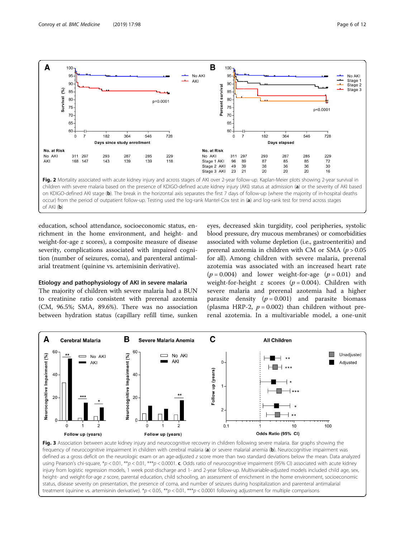<span id="page-5-0"></span>

education, school attendance, socioeconomic status, enrichment in the home environment, and height- and weight-for-age z scores), a composite measure of disease severity, complications associated with impaired cognition (number of seizures, coma), and parenteral antimalarial treatment (quinine vs. artemisinin derivative).

## Etiology and pathophysiology of AKI in severe malaria

The majority of children with severe malaria had a BUN to creatinine ratio consistent with prerenal azotemia (CM, 96.5%; SMA, 89.6%). There was no association between hydration status (capillary refill time, sunken eyes, decreased skin turgidity, cool peripheries, systolic blood pressure, dry mucous membranes) or comorbidities associated with volume depletion (i.e., gastroenteritis) and prerenal azotemia in children with CM or SMA ( $p > 0.05$ ) for all). Among children with severe malaria, prerenal azotemia was associated with an increased heart rate  $(p = 0.004)$  and lower weight-for-age  $(p = 0.01)$  and weight-for-height z scores  $(p = 0.004)$ . Children with severe malaria and prerenal azotemia had a higher parasite density  $(p = 0.001)$  and parasite biomass (plasma HRP-2,  $p = 0.002$ ) than children without prerenal azotemia. In a multivariable model, a one-unit



Fig. 3 Association between acute kidney injury and neurocognitive recovery in children following severe malaria. Bar graphs showing the frequency of neurocognitive impairment in children with cerebral malaria (a) or severe malarial anemia (b). Neurocognitive impairment was defined as a gross deficit on the neurologic exam or an age-adjusted z score more than two standard deviations below the mean. Data analyzed using Pearson's chi-square, \*p < 0.01, \*\*p < 0.01, \*\*\*p < 0.0001. c. Odds ratio of neurocognitive impairment (95% CI) associated with acute kidney injury from logistic regression models, 1 week post-discharge and 1- and 2-year follow-up. Multivariable-adjusted models included child age, sex, height- and weight-for-age z score, parental education, child schooling, an assessment of enrichment in the home environment, socioeconomic status, disease severity on presentation, the presence of coma, and number of seizures during hospitalization and parenteral antimalarial treatment (quinine vs. artemisinin derivative).  $*p < 0.05$ ,  $**p < 0.01$ ,  $***p < 0.0001$  following adjustment for multiple comparisons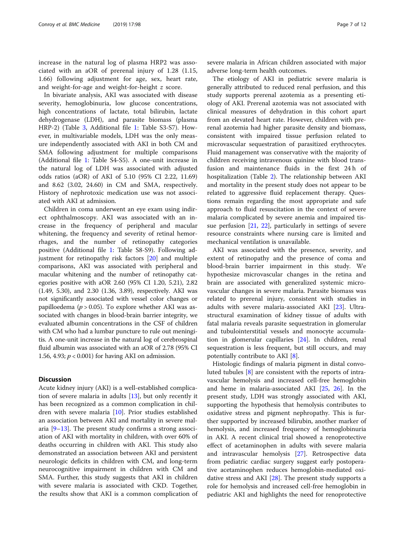increase in the natural log of plasma HRP2 was associated with an aOR of prerenal injury of 1.28 (1.15, 1.66) following adjustment for age, sex, heart rate, and weight-for-age and weight-for-height z score.

In bivariate analysis, AKI was associated with disease severity, hemoglobinuria, low glucose concentrations, high concentrations of lactate, total bilirubin, lactate dehydrogenase (LDH), and parasite biomass (plasma HRP-2) (Table [3](#page-8-0), Additional file [1:](#page-9-0) Table S3-S7). However, in multivariable models, LDH was the only measure independently associated with AKI in both CM and SMA following adjustment for multiple comparisons (Additional file [1:](#page-9-0) Table S4-S5). A one-unit increase in the natural log of LDH was associated with adjusted odds ratios (aOR) of AKI of 5.10 (95% CI 2.22, 11.69) and 8.62 (3.02, 24.60) in CM and SMA, respectively. History of nephrotoxic medication use was not associated with AKI at admission.

Children in coma underwent an eye exam using indirect ophthalmoscopy. AKI was associated with an increase in the frequency of peripheral and macular whitening, the frequency and severity of retinal hemorrhages, and the number of retinopathy categories positive (Additional file [1:](#page-9-0) Table S8-S9). Following adjustment for retinopathy risk factors [\[20](#page-10-0)] and multiple comparisons, AKI was associated with peripheral and macular whitening and the number of retinopathy categories positive with aOR 2.60 (95% CI 1.20, 5.21), 2.82 (1.49, 5.30), and 2.30 (1.36, 3.89), respectively. AKI was not significantly associated with vessel color changes or papilloedema ( $p > 0.05$ ). To explore whether AKI was associated with changes in blood-brain barrier integrity, we evaluated albumin concentrations in the CSF of children with CM who had a lumbar puncture to rule out meningitis. A one-unit increase in the natural log of cerebrospinal fluid albumin was associated with an aOR of 2.78 (95% CI 1.56, 4.93;  $p < 0.001$ ) for having AKI on admission.

## **Discussion**

Acute kidney injury (AKI) is a well-established complication of severe malaria in adults [\[13](#page-10-0)], but only recently it has been recognized as a common complication in children with severe malaria [\[10\]](#page-10-0). Prior studies established an association between AKI and mortality in severe malaria  $[9-13]$  $[9-13]$  $[9-13]$ . The present study confirms a strong association of AKI with mortality in children, with over 60% of deaths occurring in children with AKI. This study also demonstrated an association between AKI and persistent neurologic deficits in children with CM, and long-term neurocognitive impairment in children with CM and SMA. Further, this study suggests that AKI in children with severe malaria is associated with CKD. Together, the results show that AKI is a common complication of

severe malaria in African children associated with major adverse long-term health outcomes.

The etiology of AKI in pediatric severe malaria is generally attributed to reduced renal perfusion, and this study supports prerenal azotemia as a presenting etiology of AKI. Prerenal azotemia was not associated with clinical measures of dehydration in this cohort apart from an elevated heart rate. However, children with prerenal azotemia had higher parasite density and biomass, consistent with impaired tissue perfusion related to microvascular sequestration of parasitized erythrocytes. Fluid management was conservative with the majority of children receiving intravenous quinine with blood transfusion and maintenance fluids in the first 24 h of hospitalization (Table [2\)](#page-7-0). The relationship between AKI and mortality in the present study does not appear to be related to aggressive fluid replacement therapy. Questions remain regarding the most appropriate and safe approach to fluid resuscitation in the context of severe malaria complicated by severe anemia and impaired tissue perfusion [\[21,](#page-10-0) [22\]](#page-10-0), particularly in settings of severe resource constraints where nursing care is limited and mechanical ventilation is unavailable.

AKI was associated with the presence, severity, and extent of retinopathy and the presence of coma and blood-brain barrier impairment in this study. We hypothesize microvascular changes in the retina and brain are associated with generalized systemic microvascular changes in severe malaria. Parasite biomass was related to prerenal injury, consistent with studies in adults with severe malaria-associated AKI [[23](#page-10-0)]. Ultrastructural examination of kidney tissue of adults with fatal malaria reveals parasite sequestration in glomerular and tubulointerstitial vessels and monocyte accumulation in glomerular capillaries [[24\]](#page-10-0). In children, renal sequestration is less frequent, but still occurs, and may potentially contribute to AKI [[8\]](#page-10-0).

Histologic findings of malaria pigment in distal convoluted tubules [\[8](#page-10-0)] are consistent with the reports of intravascular hemolysis and increased cell-free hemoglobin and heme in malaria-associated AKI [\[25,](#page-10-0) [26](#page-10-0)]. In the present study, LDH was strongly associated with AKI, supporting the hypothesis that hemolysis contributes to oxidative stress and pigment nephropathy. This is further supported by increased bilirubin, another marker of hemolysis, and increased frequency of hemoglobinuria in AKI. A recent clinical trial showed a renoprotective effect of acetaminophen in adults with severe malaria and intravascular hemolysis [[27\]](#page-10-0). Retrospective data from pediatric cardiac surgery suggest early postoperative acetaminophen reduces hemoglobin-mediated oxidative stress and AKI [\[28](#page-10-0)]. The present study supports a role for hemolysis and increased cell-free hemoglobin in pediatric AKI and highlights the need for renoprotective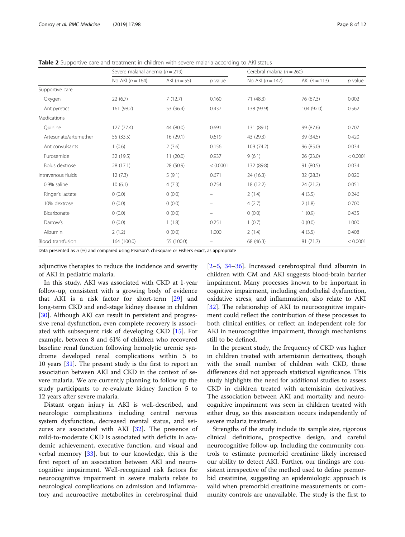|                       | Severe malarial anemia ( $n = 219$ ) |                | Cerebral malaria ( $n = 260$ ) |                    |                 |           |
|-----------------------|--------------------------------------|----------------|--------------------------------|--------------------|-----------------|-----------|
|                       | No AKI $(n = 164)$                   | AKI $(n = 55)$ | $p$ value                      | No AKI $(n = 147)$ | AKI $(n = 113)$ | $p$ value |
| Supportive care       |                                      |                |                                |                    |                 |           |
| Oxygen                | 22(6.7)                              | 7(12.7)        | 0.160                          | 71 (48.3)          | 76 (67.3)       | 0.002     |
| Antipyretics          | 161 (98.2)                           | 53 (96.4)      | 0.437                          | 138 (93.9)         | 104 (92.0)      | 0.562     |
| Medications           |                                      |                |                                |                    |                 |           |
| Quinine               | 127(77.4)                            | 44 (80.0)      | 0.691                          | 131 (89.1)         | 99 (87.6)       | 0.707     |
| Artesunate/artemether | 55 (33.5)                            | 16(29.1)       | 0.619                          | 43 (29.3)          | 39 (34.5)       | 0.420     |
| Anticonvulsants       | 1(0.6)                               | 2(3.6)         | 0.156                          | 109 (74.2)         | 96 (85.0)       | 0.034     |
| Furosemide            | 32 (19.5)                            | 11(20.0)       | 0.937                          | 9(6.1)             | 26 (23.0)       | < 0.0001  |
| Bolus dextrose        | 28 (17.1)                            | 28 (50.9)      | < 0.0001                       | 132 (89.8)         | 91 (80.5)       | 0.034     |
| Intravenous fluids    | 12(7.3)                              | 5(9.1)         | 0.671                          | 24 (16.3)          | 32 (28.3)       | 0.020     |
| 0.9% saline           | 10(6.1)                              | 4(7.3)         | 0.754                          | 18 (12.2)          | 24 (21.2)       | 0.051     |
| Ringer's lactate      | 0(0.0)                               | 0(0.0)         | -                              | 2(1.4)             | 4(3.5)          | 0.246     |
| 10% dextrose          | 0(0.0)                               | 0(0.0)         | $\overline{\phantom{0}}$       | 4(2.7)             | 2(1.8)          | 0.700     |
| Bicarbonate           | 0(0.0)                               | 0(0.0)         | -                              | 0(0.0)             | 1(0.9)          | 0.435     |
| Darrow's              | 0(0.0)                               | 1(1.8)         | 0.251                          | 1(0.7)             | 0(0.0)          | 1.000     |
| Albumin               | 2(1.2)                               | 0(0.0)         | 1.000                          | 2(1.4)             | 4(3.5)          | 0.408     |
| Blood transfusion     | 164 (100.0)                          | 55 (100.0)     | -                              | 68 (46.3)          | 81(71.7)        | < 0.0001  |

<span id="page-7-0"></span>Table 2 Supportive care and treatment in children with severe malaria according to AKI status

Data presented as  $n$  (%) and compared using Pearson's chi-square or Fisher's exact, as appropriate

adjunctive therapies to reduce the incidence and severity of AKI in pediatric malaria.

In this study, AKI was associated with CKD at 1-year follow-up, consistent with a growing body of evidence that AKI is a risk factor for short-term [\[29](#page-10-0)] and long-term CKD and end-stage kidney disease in children [[30\]](#page-10-0). Although AKI can result in persistent and progressive renal dysfunction, even complete recovery is associated with subsequent risk of developing CKD [\[15](#page-10-0)]. For example, between 8 and 61% of children who recovered baseline renal function following hemolytic uremic syndrome developed renal complications within 5 to 10 years [\[31](#page-10-0)]. The present study is the first to report an association between AKI and CKD in the context of severe malaria. We are currently planning to follow up the study participants to re-evaluate kidney function 5 to 12 years after severe malaria.

Distant organ injury in AKI is well-described, and neurologic complications including central nervous system dysfunction, decreased mental status, and seizures are associated with AKI  $[32]$  $[32]$ . The presence of mild-to-moderate CKD is associated with deficits in academic achievement, executive function, and visual and verbal memory [[33](#page-11-0)], but to our knowledge, this is the first report of an association between AKI and neurocognitive impairment. Well-recognized risk factors for neurocognitive impairment in severe malaria relate to neurological complications on admission and inflammatory and neuroactive metabolites in cerebrospinal fluid [[2](#page-10-0)–[5,](#page-10-0) [34](#page-11-0)–[36](#page-11-0)]. Increased cerebrospinal fluid albumin in children with CM and AKI suggests blood-brain barrier impairment. Many processes known to be important in cognitive impairment, including endothelial dysfunction, oxidative stress, and inflammation, also relate to AKI [[32\]](#page-11-0). The relationship of AKI to neurocognitive impairment could reflect the contribution of these processes to both clinical entities, or reflect an independent role for AKI in neurocognitive impairment, through mechanisms still to be defined.

In the present study, the frequency of CKD was higher in children treated with artemisinin derivatives, though with the small number of children with CKD, these differences did not approach statistical significance. This study highlights the need for additional studies to assess CKD in children treated with artemisinin derivatives. The association between AKI and mortality and neurocognitive impairment was seen in children treated with either drug, so this association occurs independently of severe malaria treatment.

Strengths of the study include its sample size, rigorous clinical definitions, prospective design, and careful neurocognitive follow-up. Including the community controls to estimate premorbid creatinine likely increased our ability to detect AKI. Further, our findings are consistent irrespective of the method used to define premorbid creatinine, suggesting an epidemiologic approach is valid when premorbid creatinine measurements or community controls are unavailable. The study is the first to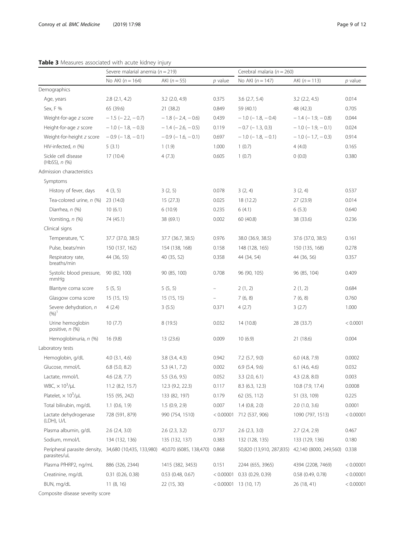## <span id="page-8-0"></span>Table 3 Measures associated with acute kidney injury

|                                                                       | Severe malarial anemia ( $n = 219$ ) |                            |                          | Cerebral malaria ( $n = 260$ )                  |                            |           |  |
|-----------------------------------------------------------------------|--------------------------------------|----------------------------|--------------------------|-------------------------------------------------|----------------------------|-----------|--|
|                                                                       | No AKI $(n = 164)$                   | AKI $(n = 55)$             | $p$ value                | No AKI $(n = 147)$                              | AKI $(n = 113)$            | $p$ value |  |
| Demographics                                                          |                                      |                            |                          |                                                 |                            |           |  |
| Age, years                                                            | $2.8$ $(2.1, 4.2)$                   | $3.2$ (2.0, 4.9)           | 0.375                    | 3.6(2.7, 5.4)                                   | $3.2$ (2.2, 4.5)           | 0.014     |  |
| Sex, F %                                                              | 65 (39.6)                            | 21 (38.2)                  | 0.849                    | 59 (40.1)                                       | 48 (42.3)                  | 0.705     |  |
| Weight-for-age z score                                                | $-1.5$ ( $-2.2$ , $-0.7$ )           | $-1.8$ ( $-2.4$ , $-0.6$ ) | 0.439                    | $-1.0$ ( $-1.8$ , $-0.4$ )                      | $-1.4$ ( $-1.9$ , $-0.8$ ) | 0.044     |  |
| Height-for-age z score                                                | $-1.0$ ( $-1.8$ , $-0.3$ )           | $-1.4$ ( $-2.6$ , $-0.5$ ) | 0.119                    | $-0.7$ ( $-1.3$ , 0.3)                          | $-1.0$ ( $-1.9$ , $-0.1$ ) | 0.024     |  |
| Weight-for-height z score                                             | $-0.9$ ( $-1.8$ , $-0.1$ )           | $-0.9$ ( $-1.6$ , $-0.1$ ) | 0.697                    | $-1.0$ ( $-1.8$ , $-0.1$ )                      | $-1.0$ ( $-1.7, -0.3$ )    | 0.914     |  |
| HIV-infected, n (%)                                                   | 5(3.1)                               | 1(1.9)                     | 1.000                    | 1(0.7)                                          | 4(4.0)                     | 0.165     |  |
| Sickle cell disease<br>(HbSS), n (%)                                  | 17 (10.4)                            | 4(7.3)                     | 0.605                    | 1(0.7)                                          | 0(0.0)                     | 0.380     |  |
| Admission characteristics                                             |                                      |                            |                          |                                                 |                            |           |  |
| Symptoms                                                              |                                      |                            |                          |                                                 |                            |           |  |
| History of fever, days                                                | 4(3, 5)                              | 3(2, 5)                    | 0.078                    | 3(2, 4)                                         | 3(2, 4)                    | 0.537     |  |
| Tea-colored urine, n (%)                                              | 23 (14.0)                            | 15(27.3)                   | 0.025                    | 18 (12.2)                                       | 27 (23.9)                  | 0.014     |  |
| Diarrhea, n (%)                                                       | 10(6.1)                              | 6(10.9)                    | 0.235                    | 6(4.1)                                          | 6(5.3)                     | 0.640     |  |
| Vomiting, n (%)                                                       | 74 (45.1)                            | 38 (69.1)                  | 0.002                    | 60 (40.8)                                       | 38 (33.6)                  | 0.236     |  |
| Clinical signs                                                        |                                      |                            |                          |                                                 |                            |           |  |
| Temperature, °C                                                       | 37.7 (37.0, 38.5)                    | 37.7 (36.7, 38.5)          | 0.976                    | 38.0 (36.9, 38.5)                               | 37.6 (37.0, 38.5)          | 0.161     |  |
| Pulse, beats/min                                                      | 150 (137, 162)                       | 154 (138, 168)             | 0.158                    | 148 (128, 165)                                  | 150 (135, 168)             | 0.278     |  |
| Respiratory rate,<br>breaths/min                                      | 44 (36, 55)                          | 40 (35, 52)                | 0.358                    | 44 (34, 54)                                     | 44 (36, 56)                | 0.357     |  |
| Systolic blood pressure,<br>mmHq                                      | 90 (82, 100)                         | 90 (85, 100)               | 0.708                    | 96 (90, 105)                                    | 96 (85, 104)               | 0.409     |  |
| Blantyre coma score                                                   | 5(5, 5)                              | 5(5, 5)                    | $\overline{\phantom{0}}$ | 2(1, 2)                                         | 2(1, 2)                    | 0.684     |  |
| Glasgow coma score                                                    | 15(15, 15)                           | 15(15, 15)                 |                          | 7(6, 8)                                         | 7(6, 8)                    | 0.760     |  |
| Severe dehydration, n<br>$(96)$ <sup>1</sup>                          | 4(2.4)                               | 3(5.5)                     | 0.371                    | 4(2.7)                                          | 3(2.7)                     | 1.000     |  |
| Urine hemoglobin<br>positive, n (%)                                   | 10(7.7)                              | 8(19.5)                    | 0.032                    | 14 (10.8)                                       | 28 (33.7)                  | < 0.0001  |  |
| Hemoglobinuria, n (%)                                                 | 16 (9.8)                             | 13 (23.6)                  | 0.009                    | 10(6.9)                                         | 21 (18.6)                  | 0.004     |  |
| Laboratory tests                                                      |                                      |                            |                          |                                                 |                            |           |  |
| Hemoglobin, g/dL                                                      | $4.0$ $(3.1, 4.6)$                   | 3.8(3.4, 4.3)              | 0.942                    | $7.2$ (5.7, 9.0)                                | $6.0$ (4.8, 7.9)           | 0.0002    |  |
| Glucose, mmol/L                                                       | $6.8$ $(5.0, 8.2)$                   | 5.3(4.1, 7.2)              | 0.002                    | 6.9(5.4, 9.6)                                   | $6.1$ (4.6, 4.6)           | 0.032     |  |
| Lactate, mmol/L                                                       | $4.6$ (2.8, 7.7)                     | $5.5$ (3.6, 9.5)           | 0.052                    | $3.3$ $(2.0, 6.1)$                              | $4.3$ (2.8, 8.0)           | 0.003     |  |
| WBC, $\times$ 10 <sup>3</sup> /µL                                     | 11.2 (8.2, 15.7)                     | 12.3 (9.2, 22.3)           | 0.117                    | 8.3 (6.3, 12.3)                                 | 10.8 (7.9, 17.4)           | 0.0008    |  |
| Platelet, $\times$ 10 <sup>3</sup> /µL                                | 155 (95, 242)                        | 133 (82, 197)              | 0.179                    | 62 (35, 112)                                    | 51 (33, 109)               | 0.225     |  |
| Total bilirubin, mg/dL                                                | $1.1$ (0.6, 1.9)                     | 1.5(0.9, 2.9)              | 0.007                    | $1.4$ (0.8, 2.0)                                | $2.0$ (1.0, 3.6)           | 0.0001    |  |
| Lactate dehydrogenase<br>(LDH), U/L                                   | 728 (591, 879)                       | 990 (754, 1510)            | < 0.00001                | 712 (537, 906)                                  | 1090 (797, 1513)           | < 0.00001 |  |
| Plasma albumin, g/dL                                                  | $2.6$ (2.4, 3.0)                     | $2.6$ (2.3, 3.2)           | 0.737                    | $2.6$ (2.3, 3.0)                                | 2.7(2.4, 2.9)              | 0.467     |  |
| Sodium, mmol/L                                                        | 134 (132, 136)                       | 135 (132, 137)             | 0.383                    | 132 (128, 135)                                  | 133 (129, 136)             | 0.180     |  |
| Peripheral parasite density, 34,680 (10,435, 133,980)<br>parasites/uL |                                      | 40,070 (6085, 138,470)     | 0.868                    | 50,820 (13,910, 287,835) 42,140 (8000, 249,560) |                            | 0.338     |  |
| Plasma PfHRP2, ng/mL                                                  | 886 (326, 2344)                      | 1415 (382, 3453)           | 0.151                    | 2244 (655, 3965)                                | 4394 (2208, 7469)          | < 0.00001 |  |
| Creatinine, mg/dL                                                     | 0.31 (0.26, 0.38)                    | $0.53$ (0.48, 0.67)        |                          | $< 0.00001$ 0.33 (0.29, 0.39)                   | 0.58 (0.49, 0.78)          | < 0.00001 |  |
| BUN, mg/dL                                                            | 11(8, 16)                            | 22 (15, 30)                |                          | $< 0.00001$ 13 (10, 17)                         | 26 (18, 41)                | < 0.00001 |  |
| Composito disoaso sovority scor                                       |                                      |                            |                          |                                                 |                            |           |  |

Composite disease severity score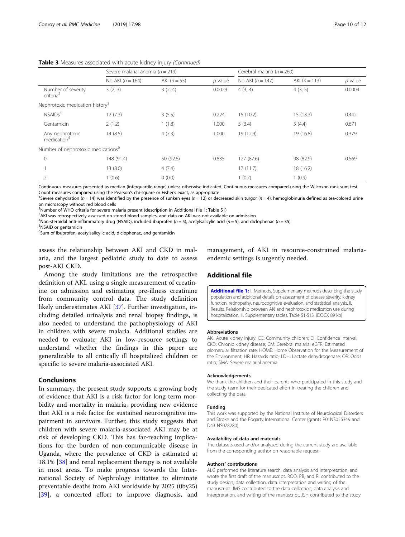|                                                | Severe malarial anemia ( $n = 219$ ) |                |           | Cerebral malaria ( $n = 260$ ) |                 |           |
|------------------------------------------------|--------------------------------------|----------------|-----------|--------------------------------|-----------------|-----------|
|                                                | No AKI $(n = 164)$                   | AKI $(n = 55)$ | $p$ value | No AKI $(n = 147)$             | AKI $(n = 113)$ | $p$ value |
| Number of severity<br>criteria <sup>2</sup>    | 3(2, 3)                              | 3(2, 4)        | 0.0029    | 4(3, 4)                        | 4(3, 5)         | 0.0004    |
| Nephrotoxic medication history <sup>3</sup>    |                                      |                |           |                                |                 |           |
| NSAIDS <sup>4</sup>                            | 12(7.3)                              | 3(5.5)         | 0.224     | 15 (10.2)                      | 15(13.3)        | 0.442     |
| Gentamicin                                     | 2(1.2)                               | 1(1.8)         | 1.000     | 5(3.4)                         | 5(4.4)          | 0.671     |
| Any nephrotoxic<br>medication <sup>5</sup>     | 14(8.5)                              | 4(7.3)         | 1.000     | 19 (12.9)                      | 19 (16.8)       | 0.379     |
| Number of nephrotoxic medications <sup>6</sup> |                                      |                |           |                                |                 |           |
| $\mathbf{0}$                                   | 148 (91.4)                           | 50 (92.6)      | 0.835     | 127 (87.6)                     | 98 (82.9)       | 0.569     |
|                                                | 13(8.0)                              | 4(7.4)         |           | 17(11.7)                       | 18 (16.2)       |           |
| 2                                              | 1(0.6)                               | 0(0.0)         |           | 1(0.7)                         | 1(0.9)          |           |

<span id="page-9-0"></span>Table 3 Measures associated with acute kidney injury (Continued)

Continuous measures presented as median (interquartile range) unless otherwise indicated. Continuous measures compared using the Wilcoxon rank-sum test. Count measures compared using the Pearson's chi-square or Fisher's exact, as appropriate <sup>1</sup>

<sup>1</sup>Severe dehydration (n = 14) was identified by the presence of sunken eyes (n = 12) or decreased skin turgor (n = 4), hemoglobinuria defined as tea-colored urine on microscopy without red blood cells

<sup>2</sup> Number of WHO criteria for severe malaria present (description in Additional file 1: Table S1)<br><sup>3</sup> ML was retrospectively assessed on stared blood samples, and data on AKL was not available

<sup>3</sup>AKI was retrospectively assessed on stored blood samples, and data on AKI was not available on admission <sup>4</sup>Non-steroidal anti-inflammatory drug (NSAID), included ibuprofen (n = 5), acetylsalicylic acid (n = 5), and diclophenac (n = 35)<br><sup>5</sup>NSAID or gentamicin

<sup>5</sup>NSAID or gentamicin

6 Sum of ibuprofen, acetylsalicylic acid, diclophenac, and gentamicin

assess the relationship between AKI and CKD in malaria, and the largest pediatric study to date to assess post-AKI CKD.

Among the study limitations are the retrospective definition of AKI, using a single measurement of creatinine on admission and estimating pre-illness creatinine from community control data. The study definition likely underestimates AKI [[37](#page-11-0)]. Further investigation, including detailed urinalysis and renal biopsy findings, is also needed to understand the pathophysiology of AKI in children with severe malaria. Additional studies are needed to evaluate AKI in low-resource settings to understand whether the findings in this paper are generalizable to all critically ill hospitalized children or specific to severe malaria-associated AKI.

## Conclusions

In summary, the present study supports a growing body of evidence that AKI is a risk factor for long-term morbidity and mortality in malaria, providing new evidence that AKI is a risk factor for sustained neurocognitive impairment in survivors. Further, this study suggests that children with severe malaria-associated AKI may be at risk of developing CKD. This has far-reaching implications for the burden of non-communicable disease in Uganda, where the prevalence of CKD is estimated at 18.1% [\[38](#page-11-0)] and renal replacement therapy is not available in most areas. To make progress towards the International Society of Nephrology initiative to eliminate preventable deaths from AKI worldwide by 2025 (0by25) [[39\]](#page-11-0), a concerted effort to improve diagnosis, and

management, of AKI in resource-constrained malariaendemic settings is urgently needed.

## Additional file

[Additional file 1:](https://doi.org/10.1186/s12916-019-1332-7) I. Methods. Supplementary methods describing the study population and additional details on assessment of disease severity, kidney function, retinopathy, neurocognitive evaluation, and statistical analysis. II. Results. Relationship between AKI and nephrotoxic medication use during hospitalization. III. Supplementary tables. Table S1-S13. (DOCX 89 kb)

#### Abbreviations

AKI: Acute kidney injury; CC: Community children; CI: Confidence interval; CKD: Chronic kidney disease; CM: Cerebral malaria; eGFR: Estimated glomerular filtration rate; HOME: Home Observation for the Measurement of the Environment; HR: Hazards ratio; LDH: Lactate dehydrogenase; OR: Odds ratio; SMA: Severe malarial anemia

#### Acknowledgements

We thank the children and their parents who participated in this study and the study team for their dedicated effort in treating the children and collecting the data.

#### Funding

This work was supported by the National Institute of Neurological Disorders and Stroke and the Fogarty International Center (grants R01NS055349 and D43 NS078280).

#### Availability of data and materials

The datasets used and/or analyzed during the current study are available from the corresponding author on reasonable request.

#### Authors' contributions

ALC performed the literature search, data analysis and interpretation, and wrote the first draft of the manuscript. ROO, PB, and RI contributed to the study design, data collection, data interpretation and writing of the manuscript. JMS contributed to the data collection, data analysis and interpretation, and writing of the manuscript. JSH contributed to the study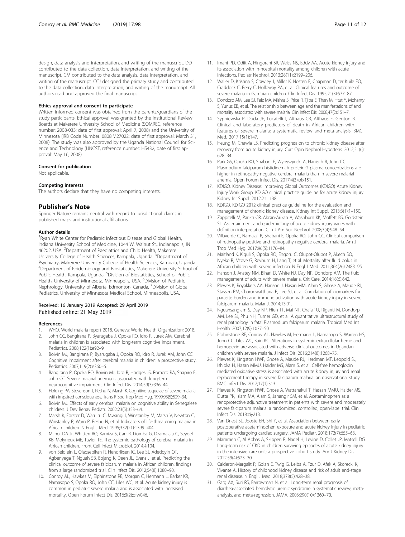<span id="page-10-0"></span>design, data analysis and interpretation, and writing of the manuscript. DD contributed to the data collection, data interpretation, and writing of the manuscript. CM contributed to the data analysis, data interpretation, and writing of the manuscript. CCJ designed the primary study and contributed to the data collection, data interpretation, and writing of the manuscript. All authors read and approved the final manuscript.

#### Ethics approval and consent to participate

Written informed consent was obtained from the parents/guardians of the study participants. Ethical approval was granted by the Institutional Review Boards at Makerere University School of Medicine (SOMREC, reference number: 2008-033; date of first approval: April 7, 2008) and the University of Minnesota (IRB Code Number: 0808 M27022; date of first approval: March 31, 2008). The study was also approved by the Uganda National Council for Science and Technology (UNCST, reference number: HS432; date of first approval: May 16, 2008).

#### Consent for publication

Not applicable.

#### Competing interests

The authors declare that they have no competing interests.

## Publisher's Note

Springer Nature remains neutral with regard to jurisdictional claims in published maps and institutional affiliations.

#### Author details

<sup>1</sup> Ryan White Center for Pediatric Infectious Disease and Global Health, Indiana University School of Medicine, 1044 W. Walnut St., Indianapolis, IN 46202, USA. <sup>2</sup>Department of Paediatrics and Child Health, Makerere University College of Health Sciences, Kampala, Uganda. <sup>3</sup>Department of Psychiatry, Makerere University College of Health Sciences, Kampala, Uganda. 4 Department of Epidemiology and Biostatistics, Makerere University School of Public Health, Kampala, Uganda. <sup>5</sup>Division of Biostatistics, School of Public Health, University of Minnesota, Minneapolis, USA. <sup>6</sup>Division of Pediatric Nephrology, University of Alberta, Edmonton, Canada. <sup>7</sup> Division of Global Pediatrics, University of Minnesota Medical School, Minneapolis, USA.

#### Received: 16 January 2019 Accepted: 29 April 2019 Published online: 21 May 2019

#### References

- 1. WHO. World malaria report 2018. Geneva: World Health Organization; 2018.
- 2. John CC, Bangirana P, Byarugaba J, Opoka RO, Idro R, Jurek AM. Cerebral malaria in children is associated with long-term cognitive impairment. Pediatrics. 2008;122(1):e92–9.
- Boivin MJ, Bangirana P, Byarugaba J, Opoka RO, Idro R, Jurek AM, John CC. Cognitive impairment after cerebral malaria in children: a prospective study. Pediatrics. 2007;119(2):e360–6.
- 4. Bangirana P, Opoka RO, Boivin MJ, Idro R, Hodges JS, Romero RA, Shapiro E, John CC. Severe malarial anemia is associated with long-term neurocognitive impairment. Clin Infect Dis. 2014;59(3):336–44.
- 5. Holding PA, Stevenson J, Peshu N, Marsh K. Cognitive sequelae of severe malaria with impaired consciousness. Trans R Soc Trop Med Hyg. 1999;93(5):529–34.
- 6. Boivin MJ. Effects of early cerebral malaria on cognitive ability in Senegalese children. J Dev Behav Pediatr. 2002;23(5):353–64.
- 7. Marsh K, Forster D, Waruiru C, Mwangi I, Winstanley M, Marsh V, Newton C, Winstanley P, Warn P, Peshu N, et al. Indicators of life-threatening malaria in African children. N Engl J Med. 1995;332(21):1399–404.
- 8. Milner DA Jr, Whitten RO, Kamiza S, Carr R, Liomba G, Dzamalala C, Seydel KB, Molyneux ME, Taylor TE. The systemic pathology of cerebral malaria in African children. Front Cell Infect Microbiol. 2014;4:104.
- 9. von Seidlein L, Olaosebikan R, Hendriksen IC, Lee SJ, Adedoyin OT, Agbenyega T, Nguah SB, Bojang K, Deen JL, Evans J, et al. Predicting the clinical outcome of severe falciparum malaria in African children: findings from a large randomized trial. Clin Infect Dis. 2012;54(8):1080–90.
- 10. Conroy AL, Hawkes M, Elphinstone RE, Morgan C, Hermann L, Barker KR, Namasopo S, Opoka RO, John CC, Liles WC, et al. Acute kidney injury is common in pediatric severe malaria and is associated with increased mortality. Open Forum Infect Dis. 2016;3(2):ofw046.
- 11. Imani PD, Odiit A, Hingorani SR, Weiss NS, Eddy AA. Acute kidney injury and its association with in-hospital mortality among children with acute infections. Pediatr Nephrol. 2013;28(11):2199–206.
- 12. Waller D, Krishna S, Crawley J, Miller K, Nosten F, Chapman D, ter Kuile FO, Craddock C, Berry C, Holloway PA, et al. Clinical features and outcome of severe malaria in Gambian children. Clin Infect Dis. 1995;21(3):577–87.
- 13. Dondorp AM, Lee SJ, Faiz MA, Mishra S, Price R, Tjitra E, Than M, Htut Y, Mohanty S, Yunus EB, et al. The relationship between age and the manifestations of and mortality associated with severe malaria. Clin Infect Dis. 2008;47(2):151–7.
- 14. Sypniewska P, Duda JF, Locatelli I, Althaus CR, Althaus F, Genton B. Clinical and laboratory predictors of death in African children with features of severe malaria: a systematic review and meta-analysis. BMC Med. 2017;15(1):147.
- 15. Heung M, Chawla LS. Predicting progression to chronic kidney disease after recovery from acute kidney injury. Curr Opin Nephrol Hypertens. 2012;21(6): 628–34.
- 16. Park GS, Opoka RO, Shabani E, Wypyszynski A, Hanisch B, John CC. Plasmodium falciparum histidine-rich protein-2 plasma concentrations are higher in retinopathy-negative cerebral malaria than in severe malarial anemia. Open Forum Infect Dis. 2017;4(3):ofx151.
- 17. KDIGO. Kidney Disease: Improving Global Outcomes (KDIGO) Acute Kidney Injury Work Group. KDIGO clinical practice guideline for acute kidney injury. Kidney Int Suppl. 2012;2:1–138.
- 18. KDIGO. KDIGO 2012 clinical practice guideline for the evaluation and management of chronic kidney disease. Kidney Int Suppl. 2013;3(1):1–150.
- 19. Zappitelli M, Parikh CR, Akcan-Arikan A, Washburn KK, Moffett BS, Goldstein SL. Ascertainment and epidemiology of acute kidney injury varies with definition interpretation. Clin J Am Soc Nephrol. 2008;3(4):948–54.
- 20. Villaverde C, Namazzi R, Shabani E, Opoka RO, John CC. Clinical comparison of retinopathy-positive and retinopathy-negative cerebral malaria. Am J Trop Med Hyg. 2017;96(5):1176–84.
- 21. Maitland K, Kiguli S, Opoka RO, Engoru C, Olupot-Olupot P, Akech SO, Nyeko R, Mtove G, Reyburn H, Lang T, et al. Mortality after fluid bolus in African children with severe infection. N Engl J Med. 2011;364(26):2483–95.
- 22. Hanson J, Anstey NM, Bihari D, White NJ, Day NP, Dondorp AM. The fluid management of adults with severe malaria. Crit Care. 2014;18(6):642.
- 23. Plewes K, Royakkers AA, Hanson J, Hasan MM, Alam S, Ghose A, Maude RJ, Stassen PM, Charunwatthana P, Lee SJ, et al. Correlation of biomarkers for parasite burden and immune activation with acute kidney injury in severe falciparum malaria. Malar J. 2014;13:91.
- 24. Nguansangiam S, Day NP, Hien TT, Mai NT, Chaisri U, Riganti M, Dondorp AM, Lee SJ, Phu NH, Turner GD, et al. A quantitative ultrastructural study of renal pathology in fatal Plasmodium falciparum malaria. Tropical Med Int Health. 2007;12(9):1037–50.
- 25. Elphinstone RE, Conroy AL, Hawkes M, Hermann L, Namasopo S, Warren HS, John CC, Liles WC, Kain KC. Alterations in systemic extracellular heme and hemopexin are associated with adverse clinical outcomes in Ugandan children with severe malaria. J Infect Dis. 2016;214(8):1268–75.
- 26. Plewes K, Kingston HWF, Ghose A, Maude RJ, Herdman MT, Leopold SJ, Ishioka H, Hasan MMU, Haider MS, Alam S, et al. Cell-free hemoglobin mediated oxidative stress is associated with acute kidney injury and renal replacement therapy in severe falciparum malaria: an observational study. BMC Infect Dis. 2017;17(1):313.
- 27. Plewes K, Kingston HWF, Ghose A, Wattanakul T, Hassan MMU, Haider MS, Dutta PK, Islam MA, Alam S, Jahangir SM, et al. Acetaminophen as a renoprotective adjunctive treatment in patients with severe and moderately severe falciparum malaria: a randomized, controlled, open-label trial. Clin Infect Dis. 2018:ciy213.
- 28. Van Driest SL, Jooste EH, Shi Y, et al. Association between early postoperative acetaminophen exposure and acute kidney injury in pediatric patients undergoing cardiac surgery. JAMA Pediatr. 2018;172(7):655–63.
- 29. Mammen C, Al Abbas A, Skippen P, Nadel H, Levine D, Collet JP, Matsell DG. Long-term risk of CKD in children surviving episodes of acute kidney injury in the intensive care unit: a prospective cohort study. Am J Kidney Dis. 2012;59(4):523–30.
- 30. Calderon-Margalit R, Golan E, Twig G, Leiba A, Tzur D, Afek A, Skorecki K, Vivante A. History of childhood kidney disease and risk of adult end-stage renal disease. N Engl J Med. 2018;378(5):428–38.
- 31. Garg AX, Suri RS, Barrowman N, et al. Long-term renal prognosis of diarrhea-associated hemolytic uremic syndrome: a systematic review, metaanalysis, and meta-regression. JAMA. 2003;290(10):1360–70.